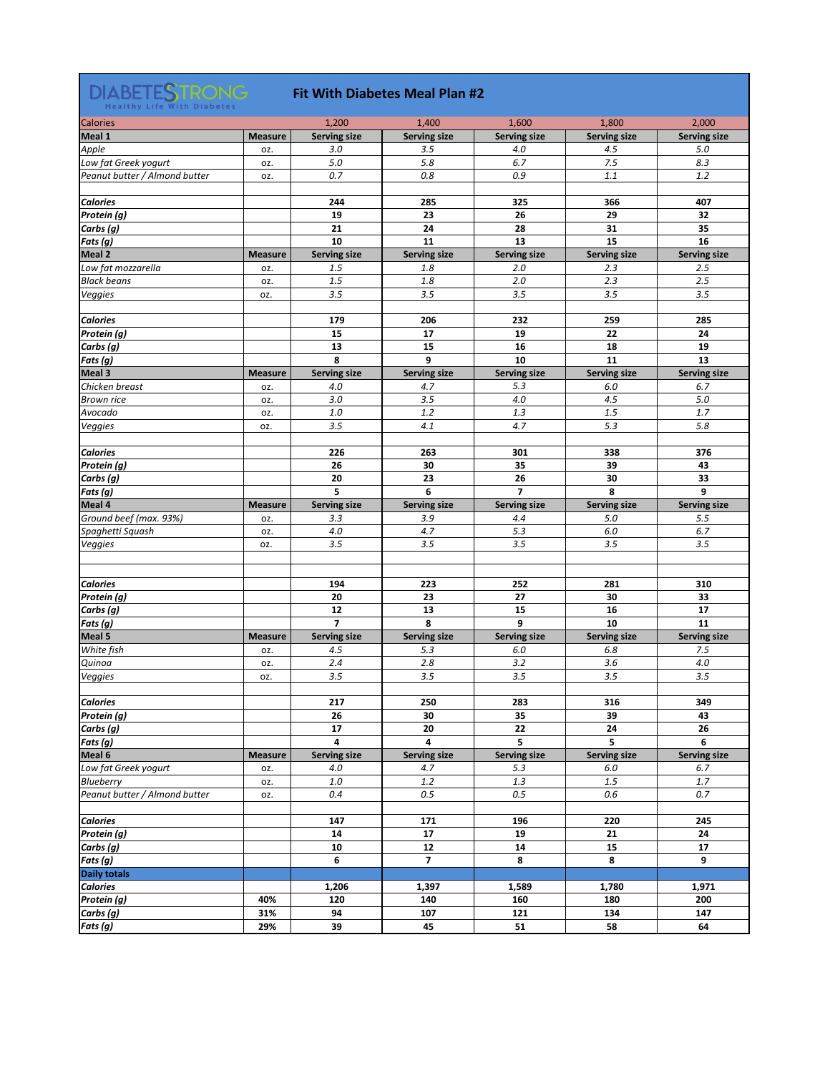

#### **Fit With Diabetes Meal Plan #2**

| <b>Calories</b>               |                | 1,200                   | 1,400                   | 1,600               | 1,800               | 2,000               |
|-------------------------------|----------------|-------------------------|-------------------------|---------------------|---------------------|---------------------|
| <b>Meal 1</b>                 | <b>Measure</b> | <b>Serving size</b>     | <b>Serving size</b>     | <b>Serving size</b> | <b>Serving size</b> | <b>Serving size</b> |
| Apple                         | OZ.            | 3.0                     | 3.5                     | 4.0                 | 4.5                 | 5.0                 |
| Low fat Greek yogurt          | OZ.            | 5.0                     | 5.8                     | 6.7                 | 7.5                 | 8.3                 |
| Peanut butter / Almond butter | OZ.            | 0.7                     | 0.8                     | 0.9                 | 1.1                 | 1.2                 |
|                               |                |                         |                         |                     |                     |                     |
| <b>Calories</b>               |                | 244                     | 285                     | 325                 | 366                 | 407                 |
|                               |                |                         |                         |                     |                     |                     |
| Protein (g)                   |                | 19                      | 23                      | 26                  | 29                  | 32                  |
| Carbs (g)                     |                | 21                      | 24                      | 28                  | 31                  | 35                  |
| <b>Fats</b> (g)               |                | 10                      | 11                      | 13                  | 15                  | 16                  |
| Meal 2                        | <b>Measure</b> | <b>Serving size</b>     | <b>Serving size</b>     | <b>Serving size</b> | <b>Serving size</b> | <b>Serving size</b> |
| Low fat mozzarella            | OZ.            | 1.5                     | 1.8                     | 2.0                 | 2.3                 | 2.5                 |
| <b>Black beans</b>            | OZ.            | 1.5                     | 1.8                     | 2.0                 | 2.3                 | 2.5                 |
| Veggies                       | OZ.            | 3.5                     | 3.5                     | 3.5                 | 3.5                 | 3.5                 |
|                               |                |                         |                         |                     |                     |                     |
| <b>Calories</b>               |                | 179                     | 206                     | 232                 | 259                 | 285                 |
| Protein (g)                   |                | 15                      | 17                      | 19                  | 22                  | 24                  |
|                               |                |                         |                         | 16                  | 18                  |                     |
| Carbs (g)                     |                | 13                      | 15                      |                     |                     | 19                  |
| <b>Fats</b> (g)               |                | 8                       | 9                       | 10                  | 11                  | 13                  |
| <b>Meal 3</b>                 | <b>Measure</b> | <b>Serving size</b>     | <b>Serving size</b>     | <b>Serving size</b> | <b>Serving size</b> | <b>Serving size</b> |
| Chicken breast                | OZ.            | 4.0                     | 4.7                     | 5.3                 | 6.0                 | 6.7                 |
| <b>Brown rice</b>             | OZ.            | 3.0                     | 3.5                     | 4.0                 | 4.5                 | 5.0                 |
| Avocado                       | OZ.            | 1.0                     | 1.2                     | 1.3                 | 1.5                 | 1.7                 |
| Veggies                       | OZ.            | 3.5                     | 4.1                     | 4.7                 | 5.3                 | 5.8                 |
|                               |                |                         |                         |                     |                     |                     |
| <b>Calories</b>               |                | 226                     | 263                     | 301                 | 338                 | 376                 |
| Protein (g)                   |                | 26                      | 30                      | 35                  | 39                  | 43                  |
| Carbs (g)                     |                | 20                      | 23                      | 26                  | 30                  | 33                  |
| <b>Fats</b> (g)               |                | 5 <sup>1</sup>          | 6                       | $\overline{7}$      | 8                   | 9                   |
| Meal 4                        | <b>Measure</b> | <b>Serving size</b>     | <b>Serving size</b>     | <b>Serving size</b> | <b>Serving size</b> | <b>Serving size</b> |
| Ground beef (max. 93%)        | OZ.            | 3.3                     | 3.9                     | 4.4                 | 5.0                 | 5.5                 |
| Spaghetti Squash              | OZ.            | 4.0                     | 4.7                     | 5.3                 | 6.0                 | 6.7                 |
| Veggies                       | OZ.            | 3.5                     | 3.5                     | 3.5                 | 3.5                 | 3.5                 |
|                               |                |                         |                         |                     |                     |                     |
|                               |                |                         |                         |                     |                     |                     |
|                               |                |                         |                         |                     |                     |                     |
| <b>Calories</b>               |                | 194                     | 223                     | 252                 | 281                 | 310                 |
| Protein (g)                   |                | 20                      | 23                      | 27                  | 30                  | 33                  |
| Carbs (g)                     |                | 12                      | 13                      | 15                  | 16                  | 17                  |
| <b>Fats</b> (g)               |                | $\overline{\mathbf{z}}$ | 8                       | 9                   | 10                  | 11                  |
| Meal 5                        | <b>Measure</b> | <b>Serving size</b>     | <b>Serving size</b>     | <b>Serving size</b> | <b>Serving size</b> | <b>Serving size</b> |
| White fish                    | OZ.            | 4.5                     | 5.3                     | 6.0                 | 6.8                 | 7.5                 |
| Quinoa                        | OZ.            | 2.4                     | 2.8                     | 3.2                 | 3.6                 | 4.0                 |
| Veggies                       | OZ.            | 3.5                     | 3.5                     | 3.5                 | 3.5                 | 3.5                 |
|                               |                |                         |                         |                     |                     |                     |
| <b>Calories</b>               |                | 217                     | 250                     | 283                 | 316                 | 349                 |
| Protein (g)                   |                | 26                      | 30                      | 35                  | 39                  | 43                  |
| Carbs (g)                     |                | 17                      | 20                      | 22                  | 24                  | 26                  |
| <b>Fats</b> (g)               |                | 4                       | $\overline{\mathbf{4}}$ | 5                   | 5                   | 6                   |
| Meal 6                        | <b>Measure</b> | <b>Serving size</b>     | <b>Serving size</b>     | <b>Serving size</b> | <b>Serving size</b> | <b>Serving size</b> |
| Low fat Greek yogurt          | OZ.            | 4.0                     | 4.7                     | 5.3                 | 6.0                 | 6.7                 |
| Blueberry                     |                | 1.0                     | 1.2                     | 1.3                 | 1.5                 | 1.7                 |
|                               | OZ.            |                         |                         |                     |                     |                     |
| Peanut butter / Almond butter | OZ.            | 0.4                     | 0.5                     | 0.5                 | 0.6                 | 0.7                 |
|                               |                |                         |                         |                     |                     |                     |
| <b>Calories</b>               |                | 147                     | 171                     | 196                 | 220                 | 245                 |
| Protein (g)                   |                | 14                      | 17                      | 19                  | 21                  | 24                  |
| Carbs (g)                     |                | 10                      | 12                      | 14                  | 15                  | 17                  |
| <b>Fats</b> (g)               |                | 6                       | $\overline{\mathbf{z}}$ | 8                   | 8                   | 9                   |
| <b>Daily totals</b>           |                |                         |                         |                     |                     |                     |
| <b>Calories</b>               |                | 1,206                   | 1,397                   | 1,589               | 1,780               | 1,971               |
| Protein (g)                   | 40%            | 120                     | 140                     | 160                 | 180                 | 200                 |
| Carbs (g)                     | 31%            | 94                      | 107                     | 121                 | 134                 | 147                 |
| <b>Fats</b> (g)               | 29%            | 39                      | 45                      | 51                  | 58                  | 64                  |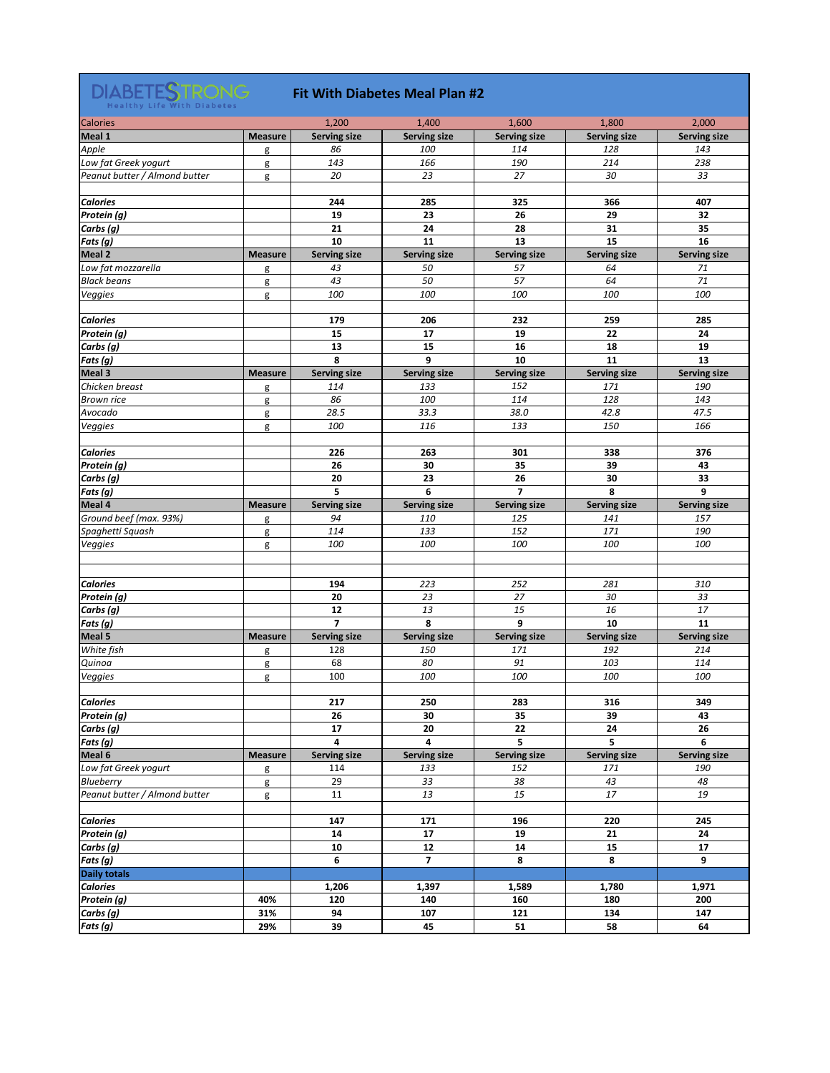

#### **Fit With Diabetes Meal Plan #2**

| <b>Calories</b>               |                | 1,200               | 1,400                   | 1,600                      | 1,800               | 2,000               |
|-------------------------------|----------------|---------------------|-------------------------|----------------------------|---------------------|---------------------|
| Meal 1                        | <b>Measure</b> | <b>Serving size</b> | <b>Serving size</b>     | <b>Serving size</b>        | <b>Serving size</b> | <b>Serving size</b> |
| Apple                         | g              | 86                  | 100                     | 114                        | 128                 | 143                 |
| Low fat Greek yogurt          | g              | 143                 | 166                     | 190                        | 214                 | 238                 |
| Peanut butter / Almond butter | g              | 20                  | 23                      | 27                         | 30                  | 33                  |
|                               |                |                     |                         |                            |                     |                     |
| <b>Calories</b>               |                | 244                 | 285                     | 325                        | 366                 | 407                 |
| Protein (g)                   |                | 19                  | 23                      | 26                         | 29                  | 32                  |
| Carbs (g)                     |                | 21                  | 24                      | 28                         | 31                  | 35                  |
| Fats (g)                      |                | 10                  | 11                      | 13                         | 15                  | 16                  |
| <b>Meal 2</b>                 | <b>Measure</b> |                     |                         |                            |                     |                     |
|                               |                | <b>Serving size</b> | <b>Serving size</b>     | <b>Serving size</b>        | <b>Serving size</b> | <b>Serving size</b> |
| Low fat mozzarella            | g              | 43                  | 50                      | 57                         | 64                  | 71                  |
| <b>Black beans</b>            | g              | 43                  | 50                      | 57                         | 64                  | 71                  |
| Veggies                       | g              | 100                 | 100                     | 100                        | 100                 | 100                 |
|                               |                |                     |                         |                            |                     |                     |
| <b>Calories</b>               |                | 179                 | 206                     | 232                        | 259                 | 285                 |
| <b>Protein</b> (g)            |                | 15                  | 17                      | 19                         | 22                  | 24                  |
| Carbs (g)                     |                | 13                  | 15                      | 16                         | 18                  | 19                  |
| Fats (g)                      |                | 8                   | 9                       | 10                         | 11                  | 13                  |
| Meal 3                        | <b>Measure</b> | <b>Serving size</b> | <b>Serving size</b>     | <b>Serving size</b>        | <b>Serving size</b> | <b>Serving size</b> |
| Chicken breast                | g              | 114                 | 133                     | 152                        | 171                 | 190                 |
| <b>Brown rice</b>             | g              | 86                  | 100                     | 114                        | 128                 | 143                 |
| Avocado                       | g              | 28.5                | 33.3                    | 38.0                       | 42.8                | 47.5                |
| Veggies                       | g              | 100                 | 116                     | 133                        | 150                 | 166                 |
|                               |                |                     |                         |                            |                     |                     |
| <b>Calories</b>               |                | 226                 | 263                     | 301                        | 338                 | 376                 |
| Protein (g)                   |                | 26                  | 30                      | 35                         | 39                  | 43                  |
| Carbs (g)                     |                | 20                  | 23                      | 26                         | 30                  | 33                  |
| Fats (g)                      |                | 5                   | 6                       | $\overline{\mathbf{z}}$    | 8                   | 9                   |
| Meal 4                        | <b>Measure</b> | <b>Serving size</b> | <b>Serving size</b>     |                            | <b>Serving size</b> | <b>Serving size</b> |
|                               |                | 94                  | 110                     | <b>Serving size</b><br>125 | 141                 | 157                 |
| Ground beef (max. 93%)        | g              |                     |                         |                            |                     |                     |
| Spaghetti Squash              | g              | 114                 | 133                     | 152                        | 171                 | 190                 |
| Veggies                       | g              | 100                 | 100                     | 100                        | 100                 | 100                 |
|                               |                |                     |                         |                            |                     |                     |
|                               |                |                     |                         |                            |                     |                     |
| <b>Calories</b>               |                | 194                 | 223                     | 252                        | 281                 | 310                 |
| Protein (g)                   |                | 20                  | 23                      | 27                         | 30                  | 33                  |
| Carbs (g)                     |                | 12                  | 13                      | 15                         | 16                  | 17                  |
| Fats (g)                      |                | $\overline{7}$      | 8                       | 9                          | 10                  | 11                  |
| Meal 5                        | <b>Measure</b> | <b>Serving size</b> | <b>Serving size</b>     | <b>Serving size</b>        | <b>Serving size</b> | <b>Serving size</b> |
| White fish                    | g              | 128                 | 150                     | 171                        | 192                 | 214                 |
| Quinoa                        | g              | 68                  | 80                      | 91                         | 103                 | 114                 |
| Veggies                       | g              | 100                 | 100                     | 100                        | 100                 | 100                 |
|                               |                |                     |                         |                            |                     |                     |
| <b>Calories</b>               |                | 217                 | 250                     | 283                        | 316                 | 349                 |
| Protein (g)                   |                | 26                  | 30                      | 35                         | 39                  | 43                  |
| Carbs (g)                     |                | 17                  | 20                      | 22                         | 24                  | 26                  |
| Fats (g)                      |                | 4                   | $\overline{\mathbf{4}}$ | 5                          | 5                   | 6                   |
| Meal 6                        | <b>Measure</b> | <b>Serving size</b> | <b>Serving size</b>     | <b>Serving size</b>        | <b>Serving size</b> | <b>Serving size</b> |
| Low fat Greek yogurt          | g              | 114                 | 133                     | 152                        | 171                 | 190                 |
| Blueberry                     |                | 29                  | 33                      | 38                         | 43                  | 48                  |
| Peanut butter / Almond butter | g<br>g         | 11                  | 13                      | 15                         | 17                  | 19                  |
|                               |                |                     |                         |                            |                     |                     |
|                               |                |                     |                         |                            |                     |                     |
| <b>Calories</b>               |                | 147                 | 171                     | 196                        | 220                 | 245                 |
| Protein (g)                   |                | 14                  | 17                      | 19                         | 21                  | 24                  |
| Carbs (g)                     |                | 10                  | 12                      | 14                         | 15                  | 17                  |
| <b>Fats</b> (g)               |                | 6                   | $\overline{7}$          | 8                          | 8                   | 9                   |
| <b>Daily totals</b>           |                |                     |                         |                            |                     |                     |
| <b>Calories</b>               |                | 1,206               | 1,397                   | 1,589                      | 1,780               | 1,971               |
| <b>Protein</b> (g)            | 40%            | 120                 | 140                     | 160                        | 180                 | 200                 |
| Carbs (g)                     | 31%            | 94                  | 107                     | 121                        | 134                 | 147                 |
| <b>Fats</b> (g)               | 29%            | 39                  | 45                      | 51                         | 58                  | 64                  |